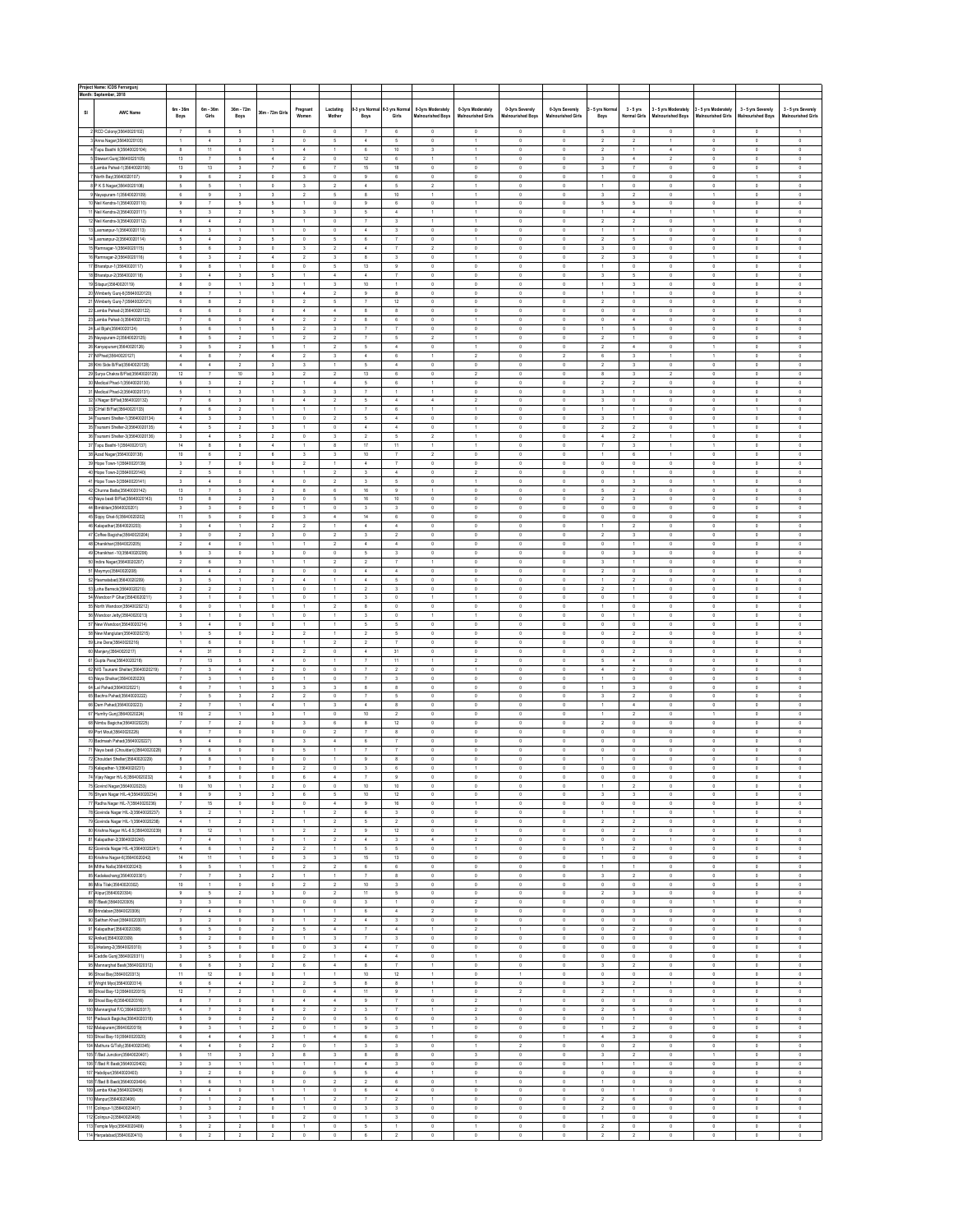|    | Project Name: ICDS Ferrargunj<br>Month: September, 2018                     |                                                      |                                                      |                                         |                                           |                                           |                                            |                                        |                                                    |                                           |                                  |                                 |                                |                                           |                                                    |                              |                                  |                               |                            |
|----|-----------------------------------------------------------------------------|------------------------------------------------------|------------------------------------------------------|-----------------------------------------|-------------------------------------------|-------------------------------------------|--------------------------------------------|----------------------------------------|----------------------------------------------------|-------------------------------------------|----------------------------------|---------------------------------|--------------------------------|-------------------------------------------|----------------------------------------------------|------------------------------|----------------------------------|-------------------------------|----------------------------|
|    |                                                                             | $6m - 36m$                                           | $6m - 36m$                                           | $36m - 72m$                             |                                           | Pregnant                                  | Lactating                                  | -3 yrs Norma                           | 0-3 yrs Norn                                       | 0-3yrs Moderately                         | 0-3yrs Moderately                | 0-3yrs Severely                 | 0-3yrs Severely                | 5 yrs Norm                                | $3 - 5$ yrs                                        | 3 - 5 yrs Moderately         | - 5 yrs Moderately               | 3 - 5 yrs Severely            | 3 - 5 yrs Severely         |
| SI | <b>AWC Name</b>                                                             | Boys                                                 | Girls                                                | Boys                                    | 36m - 72m Girl                            | Women                                     | Mother                                     | Boys                                   | Girls                                              | <b>Malnourished Boys</b>                  | <b>Malnourished Girls</b>        | Malnourished Boys               | <b>Malnourished Girls</b>      | Boys                                      | <b>Normal Girls</b>                                | <b>Malnourished Boys</b>     | <b>Malnourished Girls</b>        | <b>Malnourished Boys</b>      | <b>Malnourished Girls</b>  |
|    | 2 RCD Colony(35640020102)                                                   | $\overline{7}$                                       | $\epsilon$                                           | $\overline{\phantom{a}}$                | $\overline{1}$                            | $\theta$                                  | $\theta$                                   | $\overline{7}$                         | 6                                                  | $\mathbb O$                               | $\,0\,$                          | $\circ$                         | $\theta$                       | $\overline{\phantom{a}}$                  | $\overline{0}$                                     | $\mathbb O$                  | $\theta$                         | $\theta$                      | $\overline{1}$             |
|    | 3 Anna Nagar(35640020103)                                                   | $\ddot{\phantom{1}}$                                 | $\sim$                                               | $\mathsf 3$                             | $\overline{2}$                            | $\,$ 0                                    | $\overline{5}$                             | $\ddot{4}$                             | $\overline{\phantom{a}}$                           | $\mathbb O$                               | $\mathbf{1}$                     | $\mathbb O$                     | $\,0\,$                        | $\,$ 2 $\,$                               | $\overline{2}$                                     | $\ddot{\phantom{1}}$         | $\,0\,$                          | $\mathbb O$                   | $\,0\,$                    |
|    | 4 Tapu Basthi II(35640020104)<br>5 Stewart Gunj(35640020105)                | 8<br>13                                              | $11\,$<br>$\overline{7}$                             | 6<br>5                                  | $\mathbf{I}$<br>$\overline{4}$            | $\sim$<br>$\overline{2}$                  | $\overline{1}$<br>$\circ$                  | 6<br>12                                | $10\,$<br>$\,6\,$                                  | $\overline{\mathbf{3}}$<br>$\overline{1}$ | $\mathbf{1}$<br>$\mathbf{1}$     | $\mathfrak o$<br>$\,0\,$        | $\theta$<br>$\theta$           | $\overline{2}$<br>$\overline{\mathbf{3}}$ | $\overline{1}$<br>$\sim$                           | $\ddot{4}$<br>$\overline{2}$ | $\overline{0}$<br>$\theta$       | $\circ$<br>$\theta$           | $\,0\,$<br>$\,0\,$         |
|    | 6 Lamba Pahad-1(35640020106)                                                | 13                                                   | 13                                                   | $\overline{\mathbf{3}}$                 | $\scriptstyle{7}$                         | $\,6\,$                                   | $\overline{7}$                             | 15                                     | 18                                                 | $\,0\,$                                   | $\theta$                         | $\,0\,$                         | $\theta$                       | $_{3}$                                    | $\overline{7}$                                     | $\,$ 0                       | $\,$ 0                           | $\theta$                      | $\theta$                   |
|    | 7 North Bay(35640020107)<br>8 P K S Nagar(35640020108)                      | 9<br>$\mathsf{s}$                                    | 6<br>$\mathsf{s}$                                    | $\overline{2}$<br>$\mathbf{1}$          | $\,0\,$<br>$\,$ 0                         | $\overline{\mathbf{3}}$<br>$\mathsf 3$    | $\circ$<br>$\,$ 2 $\,$                     | 9<br>$\boldsymbol{4}$                  | 6<br>5                                             | $\theta$<br>$\,$ 2 $\,$                   | $\theta$<br>$\mathbf{1}$         | $\theta$<br>$\,0\,$             | $\theta$<br>$\,0\,$            | $\overline{1}$<br>1                       | $\overline{0}$<br>$\mathbf 0$                      | $\theta$<br>$\,0\,$          | $\overline{0}$<br>$\,0\,$        | $\overline{1}$<br>$\mathbb G$ | $\theta$<br>$\mathbb O$    |
|    | 9 Nayapuram-1(35640020109)                                                  | 6                                                    | $\,9$                                                | $\mathsf 3$                             | 3                                         | $\overline{2}$                            | 5                                          | 8                                      | $10\,$                                             | 1                                         | $\mathbf{1}$                     | $\,0\,$                         | $\mathfrak o$                  | $_{\rm 3}$                                | $\overline{2}$                                     | $\,0\,$                      | $\ddot{\phantom{1}}$             | $\mathbb G$                   | $\mathbb O$                |
|    | 10 Neil Kendra-1(35640020110)                                               | $\overline{9}$                                       | $\overline{7}$                                       | 5                                       | 5                                         |                                           | $\mathfrak o$                              | $\mathbf{Q}$                           | 6                                                  | $\mathbf 0$                               |                                  | $\mathbb O$                     | $\mathfrak o$                  | 5                                         | 5                                                  | $\mathfrak o$                | $\,0\,$                          | $\mathbb O$                   | $\mathbb O$                |
|    | 11 Neil Kendra-2(35640020111)<br>12 Neil Kendra-3(35640020112)              | $\overline{5}$<br>8                                  | $\overline{\mathbf{3}}$<br>$\overline{4}$            | $\overline{2}$<br>$\overline{2}$        | $\overline{5}$<br>$\mathbf{3}$            | $\overline{\mathbf{3}}$<br>$\overline{1}$ | 3<br>$\Omega$                              | $\overline{5}$<br>$\overline{7}$       | $\ddot{4}$<br>$\overline{\mathbf{3}}$              | $\mathbf{1}$                              | $\overline{1}$                   | $\theta$<br>$\theta$            | $\,$ 0<br>$\theta$             | $\overline{1}$<br>$\overline{2}$          | $\overline{4}$<br>$\overline{2}$                   | $\theta$                     | $\mathbf{I}$<br>1                | $\circ$<br>$\Omega$           | $\theta$<br>$\theta$       |
|    | 13 Laxmanpur-1(35640020113)                                                 | $\Delta$                                             | $\overline{\phantom{a}}$                             | $\overline{1}$                          | $\mathbf{I}$                              | $\circ$                                   | $\theta$                                   | $\overline{4}$                         | $\overline{\mathbf{3}}$                            | $\theta$                                  | $\circ$                          | $\theta$                        | $\theta$                       | $\overline{1}$                            | 1                                                  | $\theta$                     | $\overline{0}$                   | $\theta$                      | $\circ$                    |
|    | 14 Laxmanpur-2(35640020114)<br>15 Ramnagar-1(35640020115)                   | $\overline{\phantom{a}}$<br>$\overline{\phantom{a}}$ | $\,$ 4 $\,$<br>$_{\rm 6}$                            | $\overline{\mathbf{2}}$<br>$_{3}$       | $\overline{\phantom{a}}$<br>$\circ$       | $\mathbb O$<br>$\overline{\mathbf{3}}$    | $\mathbf{s}$<br>$\overline{2}$             | $\epsilon$<br>$\ddot{4}$               | $\overline{7}$<br>$\overline{7}$                   | $\mathbf{0}$<br>$\overline{2}$            | $\overline{1}$<br>$\,0\,$        | $\mathbb O$<br>$\mathbf{0}$     | $\mathfrak o$<br>$\mathfrak o$ | $\,$ 2 $\,$<br>$\mathsf 3$                | $\overline{\phantom{a}}$<br>$\theta$               | $\theta$<br>$\theta$         | $\,0\,$<br>$\theta$              | $\theta$<br>$\theta$          | $\mathbb O$<br>$\circ$     |
|    | 16 Ramnagar-2(35640020116)                                                  | $_{\rm 6}$                                           | $\overline{\mathbf{3}}$                              | $\overline{2}$                          | $\overline{4}$                            | $\,$ 2 $\,$                               | 3                                          | $\mathbf{8}$                           | $\,$ 3                                             | $\theta$                                  | 1                                | $\mathbb O$                     | $\circ$                        | $\overline{2}$                            | $\overline{\mathbf{3}}$                            | $\theta$                     | f.                               | $\circ$                       | $\mathbb{O}$               |
|    | 17 Bharatpur-1(35640020117)                                                 | $_{9}$                                               | $\,$ 8                                               | $\ddot{\phantom{1}}$                    | $\,0\,$                                   | $\,0\,$                                   | 5                                          | 13                                     | $_{9}$                                             | $\mathbb O$                               | $\,0\,$                          | $\mathbb O$                     | $\,0\,$                        | $\mathbf{1}$                              | $\,0\,$                                            | $\,0\,$                      | $\,0\,$                          | $\mathbb O$                   | $\,0\,$                    |
|    | 18 Bharatpur-2(35640020118)<br>19 Sitepur(35640020119)                      | $\overline{\mathbf{3}}$<br>8                         | $\sim$<br>$\circ$                                    | $\overline{\mathbf{3}}$<br>$\mathbf{1}$ | $\overline{5}$<br>$\overline{\mathbf{3}}$ | $\mathbf{1}$<br>$\overline{1}$            | $\Delta$<br>$\mathbf{3}$                   | $\mathbf{A}$<br>10 <sup>10</sup>       | $\overline{7}$<br>1.                               | $\theta$<br>$^{\circ}$                    | $\circ$<br>$\circ$               | $\theta$<br>$\theta$            | $\theta$<br>$\theta$           | $\overline{\mathbf{3}}$<br>$\overline{1}$ | 5<br>$\overline{\mathbf{3}}$                       | $\theta$<br>$\theta$         | $\theta$<br>$\theta$             | $\Omega$<br>$\theta$          | $\theta$<br>$^{\circ}$     |
|    | 20 Wimberly Gunj-6(35640020120)                                             | 8                                                    | $\overline{7}$                                       | $\mathbf{1}$                            | $\overline{1}$                            | $\sim$                                    | $\overline{2}$                             | 9                                      | 8                                                  | $^{\circ}$                                | $\circ$                          | $\theta$                        | $\theta$                       | $\mathbf{1}$                              | $\overline{1}$                                     | $\theta$                     | $\theta$                         | $\theta$                      | $^{\circ}$                 |
|    | 21 Wimberly Gunj-7(35640020121)<br>22 Lamba Pahad-2(35640020122)            | $\,6\,$<br>$\,6\,$                                   | $\bf8$<br>$\,6\,$                                    | $\,$ 2 $\,$<br>$\mathbb O$              | $\,0\,$<br>$\mathbb O$                    | $\,$ 2 $\,$<br>$\sqrt{4}$                 | 5<br>$\boldsymbol{4}$                      | $\overline{7}$<br>8                    | $12\,$<br>8                                        | $\,0\,$<br>$\mathbb O$                    | $\,0\,$<br>$\,0\,$               | $^{\rm o}$<br>$\mathbb O$       | $\mathbb O$<br>$\mathfrak o$   | $\,$ 2 $\,$<br>$\mathbb O$                | $\mathbb O$<br>o                                   | $\,0\,$<br>$\mathfrak o$     | $\mathbf 0$<br>$\mathbf 0$       | $\,$ 0<br>$\mathbb O$         | $\,0\,$<br>$\,$ 0          |
|    | 23 Lamba Pahad-3(35640020123)                                               |                                                      | $\sf 6$                                              | $\,$ 0                                  | $\boldsymbol{4}$                          | $\overline{2}$                            | $\overline{\mathbf{2}}$                    | 8                                      | 6                                                  | $\mathbf 0$                               | $\mathbf{1}$                     | $\mathbb O$                     | $\mathfrak o$                  | $\mathfrak o$                             | $\ddot{4}$                                         | $\mathfrak o$                | $\mathbf 0$                      | $\mathbb G$                   | $\mathbb O$                |
|    | 24 Lal Bijah (35640020124)<br>25 Nayapuram-2(35640020125)                   | 5 <sup>5</sup><br>8                                  | 6<br>$\overline{\phantom{a}}$                        | $\overline{2}$                          | 5<br>$\mathbf{I}$                         | $\overline{2}$<br>$\overline{2}$          | $\mathbf{3}$<br>$\overline{2}$             | $\tau$<br>$\overline{7}$               | $\overline{7}$<br>$\overline{\phantom{a}}$         | $\theta$<br>$\overline{2}$                | $\theta$<br>$\overline{1}$       | $\theta$<br>$\theta$            | $\theta$<br>$\theta$           | $\overline{2}$                            | 5<br>1                                             | $\theta$<br>$\theta$         | $\theta$<br>$\theta$             | $\theta$<br>$\circ$           | $\theta$<br>$\theta$       |
|    | 26 Kanyapuram(35640020126)                                                  | $\overline{\mathbf{3}}$                              | $\overline{\phantom{a}}$                             | $\overline{2}$                          | $\overline{\phantom{a}}$                  | $\mathbf{1}$                              | $\overline{2}$                             | $\overline{\phantom{a}}$               | $\overline{4}$                                     | $\theta$                                  | $\mathbf{1}$                     | $\theta$                        | $\theta$                       | $\overline{2}$                            | $\ddot{4}$                                         | $\theta$                     | $\mathbf{1}$                     | $\circ$                       | $\mathbb{O}$               |
|    | 27 N/Phad(35640020127)                                                      | $\ddot{4}$                                           | $\bf8$                                               | $\overline{7}$                          | $\ddot{4}$                                | $\,$ 2 $\,$                               | 3                                          | $\overline{4}$                         | 6                                                  | $\mathbf{1}$                              | $\sqrt{2}$                       | $\mathbf{0}$                    | $\overline{2}$                 | 6                                         | $\overline{3}$                                     |                              | $\mathbf{f}$                     | $\mathbb G$                   | $\,0\,$                    |
|    | 28 Khti Side B/Flat(35640020128)<br>29 Surya Chakra B/Flat(35640020129)     | $\overline{4}$<br>$12\,$                             | $\ddot{4}$<br>$\overline{7}$                         | $\,$ 2 $\,$<br>10                       | $\mathsf 3$<br>$\overline{\mathbf{3}}$    | $\mathsf 3$<br>$\,$ 2 $\,$                | $\,$ 2 $\,$                                | $\mathsf{s}$<br>13                     | $\,$ 4 $\,$<br>$_{\rm 6}$                          | $\mathbb O$<br>$\mathbb O$                | $\,0\,$<br>$\sqrt{2}$            | $\mathbb O$<br>$\mathbb O$      | $\,0\,$<br>$\,$ 0              | $\,$ 2 $\,$<br>$\bf8$                     | $\overline{\mathbf{3}}$<br>$\overline{\mathbf{3}}$ | $\,0\,$<br>$\sqrt{2}$        | $\,0\,$<br>$\mathbf 0$           | $\mathbb O$<br>$\mathbb O$    | $\,0\,$<br>$\,0\,$         |
|    | 30 Medical Phad-1(35640020130)                                              | $\overline{\phantom{a}}$                             | $\overline{\mathbf{3}}$                              | $\overline{2}$                          | $\overline{2}$                            | $\overline{1}$                            | $\Delta$                                   | 5                                      | $_{\rm 6}$                                         | $\mathbf{1}$                              | $\theta$                         | $\theta$                        | $\theta$                       | $\overline{2}$                            | $\overline{2}$                                     | $\theta$                     | $\theta$                         | $\theta$                      | $\theta$                   |
|    | 31 Medical Phad-2(35640020131)<br>32 V/Nagar B/Flat(35640020132)            | $\overline{\phantom{a}}$<br>$\overline{7}$           | $\ddot{\phantom{1}}$<br>$_{\rm 6}$                   | $\mathbf{3}$<br>$\overline{\mathbf{3}}$ | $\overline{1}$<br>$\,0\,$                 | $\overline{\mathbf{3}}$<br>$\overline{4}$ | $\overline{\mathbf{3}}$<br>$\overline{2}$  | $\tau$<br>5                            | $\mathbf{1}$<br>$\sim$                             | $\overline{1}$<br>$\sim$                  | $\theta$<br>$\overline{2}$       | $\theta$<br>$\theta$            | $\theta$<br>$\circ$            | $_{3}$<br>3                               | $\overline{1}$<br>$\overline{0}$                   | $\theta$<br>$\theta$         | $\,$ 0<br>$\overline{0}$         | $\theta$<br>$\theta$          | $\theta$<br>$^{\circ}$     |
|    | 33 C/Hall B/Flat(35640020133)                                               | 8                                                    | $_{\rm 6}$                                           | $\sqrt{2}$                              | 1                                         | 1                                         | 1                                          | $\tau$                                 | 6                                                  | 1                                         | 1                                | $\,0\,$                         | $\mathbb O$                    | 1                                         | 1                                                  | $\,0\,$                      | $\mathbf 0$                      | $\mathbf{1}$                  | $\,0\,$                    |
|    | 34 Tsunami Shelter-1(35640020134)                                           | $\sim$                                               | $\ensuremath{\mathsf{3}}$                            | 3                                       | 1                                         | $\mathbb O$                               | $\,$ 2 $\,$                                | $\mathsf{s}$                           | 4                                                  | $\,0\,$                                   | $\,0\,$                          | 0                               | $\mathbb O$                    | 3                                         | 1                                                  | $\,0\,$                      | $\mathbf 0$                      | $\,$ 0                        | $\,0\,$                    |
|    | 35 Tsunami Shelter-2(35640020135)<br>36 Tsunami Shelter-3(35640020136)      | $\ddot{4}$<br>$\mathbf{3}$                           | 5<br>$\sim$                                          | $\overline{2}$<br>5                     | $\mathsf 3$<br>$\overline{2}$             | $\theta$                                  | $\mathfrak o$<br>$\mathbf{3}$              | $\ddot{4}$<br>$\overline{2}$           | 4<br>5                                             | $\mathbb O$<br>$\overline{2}$             | $\overline{1}$                   | $\mathbb O$<br>$\theta$         | $\mathfrak o$<br>$\,0\,$       | $\overline{\mathbf{2}}$<br>$\Delta$       | $\overline{2}$<br>$\overline{2}$                   | $\mathfrak o$                | $\overline{0}$                   | $\mathbb O$<br>$\circ$        | $\mathbb O$<br>$\theta$    |
|    | 37 Tapu Basthi-1(35640020137)                                               | $14$                                                 | 8                                                    | 8                                       | $\Delta$                                  | $\mathbf{1}$                              | 8                                          | $17\,$                                 | $11\,$                                             |                                           | 1                                | $\theta$                        | $\,$ 0                         | $\overline{7}$                            | $\overline{\mathbf{3}}$                            |                              | 1                                | $\circ$                       | $\theta$                   |
|    | 38 Azad Nagar (35640020138)<br>39 Hope Town-1(35640020139)                  | 10<br>$\overline{\mathbf{3}}$                        | $\epsilon$<br>$\overline{7}$                         | $\overline{2}$<br>$\mathbb O$           | 6<br>$\mathbb O$                          | $\overline{\mathbf{3}}$<br>$\,$ 2 $\,$    | $\overline{\mathbf{3}}$                    | 10 <sup>10</sup><br>$\ddot{4}$         | $\overline{7}$<br>$\overline{7}$                   | $\overline{2}$<br>$\mathbf{0}$            | $\theta$<br>$\,0\,$              | $\theta$<br>$\mathbf{0}$        | $\theta$<br>$\mathfrak o$      | $\mathbf{1}$<br>$\mathbb O$               | 6<br>$\theta$                                      | $\overline{1}$<br>$\theta$   | $\overline{0}$<br>$\theta$       | $\circ$<br>$\,$ 0             | $\theta$<br>$\mathbb O$    |
|    | 40 Hope Town-2(35640020140)                                                 | $\,$ 2 $\,$                                          | $\sqrt{5}$                                           | $\mathbb O$                             |                                           | $\mathbf{1}$                              | $\overline{2}$                             | $\overline{\mathbf{3}}$                | $\sqrt{4}$                                         | $\theta$                                  | $\overline{2}$                   | $\mathbf{0}$                    | $\mathfrak o$                  | $\mathbb O$                               |                                                    | $\theta$                     | $\theta$                         | $\mathbb O$                   | $\,0\,$                    |
|    | 41 Hope Town-3(35640020141)                                                 | $\overline{\mathbf{3}}$                              | $\,$ 4 $\,$                                          | $\mathbb O$                             | $\overline{4}$                            | $\,0\,$                                   | $\,$                                       | $_{3}$                                 | $\mathsf{s}$                                       | $\theta$                                  |                                  | $\mathbb O$                     | $\mathfrak o$                  | $\,0\,$                                   | $\overline{\mathbf{3}}$                            | $\theta$                     |                                  | $\mathbb O$                   | $\,0\,$                    |
|    | 42 Chunna Batta(35640020142)<br>43 Naya basti B/Flat(35640020143)           | 13<br>$13\,$                                         | $\overline{7}$<br>8                                  | 5<br>$\overline{2}$                     | $\overline{2}$<br>$\overline{\mathbf{3}}$ | 8<br>$\,0\,$                              | 6<br>$\overline{5}$                        | 16<br>16                               | $^{\rm 9}$<br>$10\,$                               | $\mathbf{1}$<br>$\,0\,$                   | $\,$ 0<br>$\,0\,$                | $\mathbb O$<br>$\,0\,$          | $\mathfrak o$<br>$\,0\,$       | $\mathsf{s}$<br>$\overline{2}$            | $\overline{2}$<br>$\overline{\mathbf{3}}$          | $\,0\,$<br>$\,0\,$           | $\,0\,$<br>$\,$ 0                | $\mathbb O$<br>$\theta$       | $\,$ 0<br>$\,0\,$          |
|    | 44 Bimblitan(35640020201)                                                   | $\overline{\mathbf{3}}$                              | $\overline{\mathbf{3}}$                              | $\theta$                                | $^{\circ}$                                | $\overline{1}$                            | $\theta$                                   | $\mathbf{3}$                           | $\overline{\mathbf{3}}$                            | $^{\circ}$                                | $\circ$                          | $\theta$                        | $\theta$                       | $\theta$                                  | $\circ$                                            | $\theta$                     | $\theta$                         | $\theta$                      | $^{\circ}$                 |
|    | 45 Sippy Ghat-5(35640020202)<br>46 Kalapathar(35640020203)                  | 11<br>$\mathbf{3}$                                   | $\overline{5}$<br>$\boldsymbol{4}$                   | $\theta$<br>1                           | $\,0\,$<br>$\overline{2}$                 | $\overline{\mathbf{3}}$<br>$\,2\,$        | $\sim$<br>1                                | 14<br>$\sim$                           | 6<br>$\Delta$                                      | $\mathbb O$<br>$\,0\,$                    | $\,0\,$<br>$\,0\,$               | $^{\rm o}$<br>$^{\rm o}$        | $\theta$<br>$\mathbb O$        | $\mathbb O$<br>1                          | $\overline{0}$<br>$\overline{2}$                   | $^{\rm o}$<br>$\,0\,$        | $\theta$<br>$\,$ 0               | $^{\circ}$<br>$\,$ 0          | $\,0\,$<br>$\,0\,$         |
|    | 47 Coffee Bagicha(35640020204)                                              | $\mathsf 3$                                          | $\mathbb O$                                          | $\mathbf{2}$                            | $\mathsf 3$                               | $\mathbb O$                               | $\mathbf 2$                                | $\mathsf 3$                            | $\mathbf 2$                                        | $\mathbb O$                               | $\,$ 0                           | $\mathbb O$                     | 0                              | $\,$ 2 $\,$                               | 3                                                  | $\mathbb O$                  | $\,0\,$                          | $\mathbb O$                   | $\,$ 0                     |
|    | 48 Dhanikhari(35640020205)                                                  | $\,2\,$                                              | $\,$ 4 $\,$                                          | $\mathbb O$                             |                                           |                                           | $\overline{\mathbf{2}}$                    | $\,$ 4 $\,$                            | $\boldsymbol{4}$                                   | $\mathbb O$                               | $\,0\,$                          | $\mathbb O$                     | $\mathfrak o$                  | $\mathbb O$                               |                                                    | $\mathfrak o$                | $\,0\,$                          | $\mathbb O$                   | $\,$ 0                     |
|    | 49 Dhanikhari - 10(35640020205)<br>50 Indira Nagar(35640020207)             | $\mathsf{s}$<br>$\overline{2}$                       | $\mathsf 3$<br>$\epsilon$                            | $\mathbb O$<br>$\overline{\mathbf{3}}$  | $\overline{\mathbf{3}}$<br>$\mathbf{1}$   | $\,$ 0<br>$\mathbf{1}$                    | $\mathbb O$<br>$\overline{2}$              | $\mathbf{5}$<br>$\overline{2}$         | $\overline{\mathbf{3}}$<br>$\overline{7}$          | $\theta$<br>$\mathbf{1}$                  | $\,0\,$<br>$\theta$              | $\,0\,$<br>$\theta$             | $\,$ 0<br>$\theta$             | $\,0\,$<br>$\overline{\mathbf{3}}$        | 3<br>1                                             | $\,0\,$<br>$\theta$          | $\,0\,$<br>$\theta$              | $\circ$<br>$\circ$            | $\theta$<br>$\theta$       |
|    | 51 Maymyo (35640020208)                                                     | $\overline{4}$                                       | $\overline{4}$                                       | $\overline{2}$                          | $\circ$                                   | $\circ$                                   | $\circ$                                    | $\overline{4}$                         | $\overline{4}$                                     | $\theta$                                  | $\circ$                          | $\theta$                        | $\theta$                       | $\overline{2}$                            | $\theta$                                           | $\theta$                     | $\theta$                         | $\circ$                       | $\theta$                   |
|    | 52 Hasmatabad(35640020209)<br>53 Loha Barreck(35640020210)                  | $\overline{\mathbf{3}}$<br>$\overline{2}$            | $\mathsf{s}$<br>$\overline{2}$                       | $\mathbf{1}$<br>$\sqrt{2}$              | $\,$ 2 $\,$<br>$\mathbf{1}$               | $\,$ 4 $\,$<br>$\,$ 0                     |                                            | $\,$ 4 $\,$<br>$\overline{2}$          | 5<br>$\mathsf 3$                                   | $\mathbb O$<br>$\mathbb O$                | $\,0\,$<br>$\,$ 0                | $\mathbb O$<br>$\mathbb O$      | $\,$ 0<br>$\mathfrak o$        | $\mathbf{1}$<br>$\,$ 2 $\,$               | $\overline{2}$                                     | $\,0\,$<br>$\,0\,$           | $\mathbf 0$<br>$\mathbf 0$       | $\mathbb O$<br>$\mathbb O$    | $\,0\,$<br>$\,$ 0          |
|    | 54 Wandoor P Ghar(35640020211)                                              | $\overline{\mathbf{3}}$                              | $\mathbf{1}$                                         | $\mathbb{O}$                            | $\mathbf{1}$                              | $\,$ 0                                    |                                            | $_{3}$                                 | $\,$ 0                                             | $\overline{1}$                            | $\mathbf{1}$                     | $\mathbb O$                     | $\,0\,$                        | $\mathbb O$                               |                                                    | $\,0\,$                      | $\mathbf 0$                      | $\mathbb O$                   | $\,0\,$                    |
|    | 55 North Wandoor(35640020212)                                               | $_{\rm 6}$                                           | $\,$ 0 $\,$                                          | 1                                       | $\,0\,$                                   | $\overline{1}$                            | $\overline{2}$                             | $\bf 8$                                | $\,0\,$                                            | $\mathbb O$                               | $\,0\,$                          | $\mathbf 0$                     | $\,0\,$                        | $\ddot{\phantom{1}}$                      | $\,$ 0                                             | $_{\rm 0}$                   | $\,$ 0                           | $\,0\,$                       | $\,0\,$                    |
|    | 56 Wandoor Jetty(35640020213)<br>57 New Wandoor(35640020214)                | $_{\rm 3}$<br>5                                      | $\mathbf{1}$<br>$\sim$                               | $\,0\,$<br>$\theta$                     | $\mathbf{1}$<br>$\,0\,$                   | $\,0\,$<br>$\overline{1}$                 | $\mathbf{1}$<br>$\mathbf{1}$               | $_{3}$<br>5                            | $\mathbb O$<br>5                                   | $\,1\,$<br>$\mathbb O$                    | $\overline{1}$<br>$\,0\,$        | $\mathbf 0$<br>$^{\rm o}$       | $\,0\,$<br>$\theta$            | $\,0\,$<br>$\mathbb O$                    | $\overline{1}$<br>$\,0\,$                          | $\,0\,$<br>$\,$ 0            | $\,0\,$<br>$\,$ 0                | $\,0\,$<br>$\,0\,$            | $\,0\,$<br>$\,0\,$         |
|    | 58 New Manglutan(35640020215)                                               | $\mathbf{1}$                                         | $\mathsf{s}$                                         | $\mathbb O$                             | $\sqrt{2}$                                | $\,$ 2 $\,$                               | 1                                          | $\,$ 2 $\,$                            | 5                                                  | $\mathbb O$                               | $\,$ 0                           | $\,0\,$                         | $\,0\,$                        | $\mathbb O$                               | $\overline{2}$                                     | $\,0\,$                      | $\,0\,$                          | $\mathbb O$                   | $\,0\,$                    |
|    | 59 Line Dera(35640020216)<br>60 Manjery(35640020217)                        | $\overline{1}$<br>$\overline{4}$                     | $\,6\,$<br>$31\,$                                    | $\mathbb O$<br>$\mathbf 0$              | $\,$ 0<br>$\,$ 2 $\,$                     | $\,$ 1 $\,$<br>$\overline{2}$             | $\,$ 2 $\,$<br>$\mathbb O$                 | $\,$ 2 $\,$<br>$\ddot{4}$              | 7<br>$31\,$                                        | $\mathbb O$<br>$\mathbb O$                | $\,$ 0<br>$\,$ 0                 | $\,0\,$<br>$\mathbb O$          | $\,0\,$<br>$\,$ 0              | $\,0\,$<br>$\mathbb O$                    | $\,0\,$<br>$\overline{2}$                          | $\,0\,$<br>$\mathfrak o$     | $\,0\,$<br>$\,0\,$               | $\mathbb O$<br>$\mathbb O$    | $\,$ 0<br>$\,$ 0           |
|    | 61 Gupta Para(35640020218)                                                  | $\overline{7}$                                       | $13\,$                                               | 5                                       | $\ddot{4}$                                | $\,$ 0                                    |                                            | $\tau$                                 | $11\,$                                             | $\mathbf{1}$                              | $\overline{2}$                   | $\,0\,$                         | $\,$ 0                         | $\overline{5}$                            | $\ddot{4}$                                         | $\theta$                     | $\,$ 0                           | $\mathbb G$                   | $\theta$                   |
|    | 62 N/S Tsunami Shelter(35640020219)                                         | $\overline{7}$<br>$\overline{7}$                     | $\ensuremath{\mathsf{3}}$<br>$\overline{\mathbf{3}}$ | $\,$ 4 $\,$<br>$\ddot{\phantom{1}}$     | $\overline{2}$<br>$\theta$                | $\mathbb O$<br>$\overline{1}$             | $\mathbb O$<br>$\theta$                    | $\overline{7}$<br>$\overline{7}$       | $\overline{\mathbf{2}}$<br>$\overline{\mathbf{3}}$ | $\mathbb O$<br>$\theta$                   | 1<br>$\theta$                    | $\,0\,$<br>$\theta$             | $\,$ 0<br>$\theta$             | $\,4\,$<br>$\overline{1}$                 | $\overline{\mathbf{2}}$<br>$\theta$                | $\,0\,$<br>$\theta$          | $\,0\,$<br>$\overline{0}$        | $\mathbb G$<br>$\circ$        | $\,$ 0<br>$\theta$         |
|    | 63 Naya Shahar(35640020220)<br>64 Lal Pahad(35640020221)                    | $_{\rm 6}$                                           | $\scriptstyle{7}$                                    | $\ddot{\phantom{1}}$                    | $\overline{\mathbf{3}}$                   | $_{\rm 3}$                                | $\overline{\mathbf{3}}$                    | $\bf8$                                 | $\,$ 8                                             | $\mathbf{0}$                              | $\,0\,$                          | $\mathbb O$                     | $\mathfrak o$                  | $\mathbf{1}$                              | $\overline{\mathbf{3}}$                            | $\theta$                     | $\,0\,$                          | $\,$ 0                        | $\,0\,$                    |
|    | 65 Bachra Pahad(35640020222)                                                | $\overline{7}$                                       | $\,$ 5                                               | $\mathsf 3$                             | $\overline{2}$                            | $\overline{2}$                            | $\circ$                                    | $\overline{7}$                         | $\mathsf{s}$                                       | $\mathbf{0}$                              | $\,0\,$                          | $\mathbb O$                     | $\mathfrak o$                  | $\mathsf 3$                               | $\overline{2}$                                     | $\theta$                     | $\mathbf 0$                      | $\mathbb O$                   | $\mathbb O$                |
|    | 66 Dam Pahad(35640020223)<br>67 Humfry Gunj(35640020224)                    | $\overline{2}$<br>10                                 | $\tau$<br>$\overline{2}$                             | 1<br>$\mathbf{1}$                       | 4<br>$\overline{\mathbf{3}}$              | $\pm$<br>$\mathbf{1}$                     | $\mathbf{3}$<br>$\mathbb O$                | 4<br>10                                | 8<br>$\overline{2}$                                | $\,0\,$<br>$\,0\,$                        | $\,0\,$<br>$\,0\,$               | $\mathbb O$<br>$\,0\,$          | $\,0\,$<br>$\,$ 0              | $\ddot{\phantom{1}}$<br>$\mathbf{1}$      | $\sim$<br>$\overline{2}$                           | $\,0\,$<br>$\,0\,$           | $\,0\,$<br>$\overline{1}$        | $\mathbb O$<br>$\,0\,$        | $\,0\,$<br>$\,0\,$         |
|    | 68 Nimbu Bagicha(35640020225)                                               | $\overline{7}$                                       | 7                                                    | $\overline{2}$                          | $\,0\,$                                   | $\,$ 3                                    | 6                                          | $\bf 8$                                | $12\,$                                             | $\mathbb O$                               | $\,$ 0 $\,$                      | $\,0\,$                         | $\,0\,$                        | $\mathbf{2}$                              | $\,0\,$                                            | $\,0\,$                      | $\,0\,$                          | $\mathbb G$                   | $\,0\,$                    |
|    | 69 Port Mout(35640020226)<br>70 Badmash Pahad(35640020227)                  | 6<br>5                                               | $\overline{7}$<br>$\sim$                             | $\theta$<br>$\theta$                    | $\,0\,$<br>$\,0\,$                        | $\circ$<br>$\overline{\mathbf{3}}$        | $\overline{2}$<br>$\sim$                   | $\overline{7}$<br>6                    | 8<br>$\overline{7}$                                | $\,0\,$<br>$\,0\,$                        | $\theta$<br>$\,$ 0 $\,$          | $\mathbb O$<br>$^{\rm o}$       | $\theta$<br>$\theta$           | $\,0\,$<br>$\mathbb O$                    | $\circ$<br>$\circ$                                 | $\theta$<br>$\,0\,$          | $\,$ 0 $\,$<br>$\,$ 0            | $\mathbb G$<br>$\,0\,$        | $\,0\,$<br>$\,0\,$         |
|    | 71 Naya basti (Chouldari)(35640020228)                                      | $\overline{7}$                                       | $\,6\,$                                              | $\,$ 0                                  | $\,$ 0                                    | $\mathsf{s}$                              | $\mathbf{1}$                               | $\tau$                                 | $\overline{t}$                                     | $\mathbb O$                               | $\,0\,$                          | $\,0\,$                         | $\,$ 0                         | $\,0\,$                                   | $\,0\,$                                            | $\,0\,$                      | $\,0\,$                          | $\,$ 0                        | $\,0\,$                    |
|    | 72 Chouldari Shelter(35640020229)                                           | $\bf8$                                               | $\boldsymbol{8}$                                     | $\,$ 1 $\,$                             | $\mathbb O$                               | $\,0\,$                                   | $\,$ 1 $\,$                                | $^{\circ}$                             | $\bf8$                                             | $\mathbb O$                               | $\,0\,$                          | $\,0\,$                         | $\,0\,$                        | $\,$ 1 $\,$                               | $\,0\,$                                            | $\,0\,$                      | $\,0\,$                          | $\,0\,$                       | $\,0\,$                    |
|    | 73 Kalapather-1(35640020231)<br>74 Vijay Nagar H/L-5(35640020232)           | $\overline{\mathbf{3}}$<br>$\sim$                    | $\scriptstyle{7}$<br>$\mathbf{8}$                    | $\,0\,$<br>$\theta$                     | $\mathbb O$<br>$\theta$                   | $\sqrt{2}$<br>$_{\rm 6}$                  | $\,0\,$<br>$\sim$                          | $\ensuremath{\mathsf{3}}$<br>$\tau$    | $\,6\,$<br>$\overline{9}$                          | $\mathbb O$<br>$\mathbb O$                | $\,$ 1 $\,$<br>$\,0\,$           | $\,0\,$<br>$\theta$             | $\,$ 0<br>$\theta$             | $\,0\,$<br>$\,0\,$                        | $\,0\,$<br>$\theta$                                | $\,0\,$<br>$\,0\,$           | $\,0\,$<br>$\,$ 0                | $\,0\,$<br>$\,0\,$            | $\,$ 0<br>$\theta$         |
|    | 75 Govind Nagar(35640020233)                                                | 10                                                   | 10                                                   | $\overline{1}$                          | $\overline{2}$                            | $^{\circ}$                                | $\theta$                                   | 10                                     | $10$                                               | $\theta$                                  | $\theta$                         | $\theta$                        | $\theta$                       | $\overline{1}$                            | $\overline{2}$                                     | $\theta$                     | $\theta$                         | $\theta$                      | $^{\circ}$                 |
|    | 76 Shyam Nagar H/L-4(35640020234)<br>77 Radha Nagar H/L-7(35640020236)      | 8<br>$\overline{7}$                                  | $\overline{9}$<br>$15\,$                             | $\overline{\mathbf{3}}$<br>$\mathbb O$  | $\overline{\mathbf{3}}$<br>$\,0\,$        | 6<br>$\mathbf 0$                          | $\overline{\phantom{a}}$<br>$\overline{4}$ | 10 <sup>10</sup><br>$^{\circ}$         | $12\,$<br>$16\,$                                   | $\mathbf{0}$<br>$\mathbb O$               | $\circ$                          | $\theta$<br>$\mathbb O$         | $\theta$<br>$\,$ 0             | $\overline{\mathbf{3}}$<br>$\mathbb O$    | $\overline{\mathbf{3}}$<br>$\,0\,$                 | $\theta$<br>$\,0\,$          | $\overline{0}$<br>$\,0\,$        | $\circ$<br>$\mathbb O$        | $\mathbb{O}$<br>$\,0\,$    |
|    | 78 Govinda Nagar HL-2(35640020237)                                          | $\mathsf{s}$                                         | $\overline{2}$                                       | $\,1\,$                                 | $\sqrt{2}$                                | $\mathbf{1}$                              | $\,$ 2 $\,$                                | $\mathsf{6}$                           | $\mathsf 3$                                        | $\mathbb O$                               | $\theta$                         | $\mathbb O$                     | $\,0\,$                        | $\,$ 1 $\,$                               | $\overline{1}$                                     | $\mathbb O$                  | $\,1\,$                          | $\mathbb O$                   | $\mathbb O$                |
|    | 79 Govinda Nagar HL-1(35640020238)<br>80 Krishna Nagar H/L-6.5(35640020239) | $4 -$<br>$\bf8$                                      | $\,$ 1 $\,$<br>12                                    | $\overline{2}$<br>$\mathbf{1}$          | $\overline{2}$<br>$\overline{1}$          | $\,$ 1 $\,$<br>$\sqrt{2}$                 | $\overline{2}$<br>$\overline{2}$           | $5 -$<br>$\overline{9}$                | $\overline{2}$<br>$12\,$                           | $\mathbb O$<br>$\,0\,$                    | $\theta$<br>$\overline{1}$       | $\mathbb O$<br>$\mathbb O$      | $\,0\,$<br>$\,0\,$             | $\,$ 2 $\,$<br>$\mathbf 0$                | $\overline{2}$<br>$\overline{2}$                   | $\mathbb O$<br>$\mathbb O$   | $\,0\,$<br>$\,0\,$               | $\mathbb O$<br>$\theta$       | $\mathbb O$<br>$\mathbb O$ |
|    | 81 Kalapather-2(35640020240)                                                | $\overline{7}$                                       | $\sim$                                               | 1                                       | $\,0\,$                                   | $\mathbf{1}$                              | $\overline{2}$                             | 4                                      | $\,$ 3                                             | $\sim$                                    | $\overline{2}$                   | $\,0\,$                         | $\theta$                       | $\mathbb O$                               | $\circ$                                            | $\overline{1}$               | $\circ$                          | $\theta$                      | $\,$ 0 $\,$                |
|    | 82 Govinda Nagar HL-4(35640020241)<br>83 Krishna Nagar-6(35640020242)       | $\sim$<br>$14\,$                                     | $_{\rm 6}$<br>$11\,$                                 | $\overline{1}$<br>$\mathbf{1}$          | $\overline{2}$<br>$\,0\,$                 | $\,$ 2 $\,$<br>$\,$ 3                     | $\overline{1}$<br>$_{\rm 3}$               | $\sim$<br>$15\,$                       | $\overline{\phantom{a}}$<br>$13\,$                 | $\theta$<br>$\mathbb O$                   | $\overline{1}$<br>$\,0\,$        | $\theta$<br>$\mathbb O$         | $\theta$<br>$\,0\,$            | $\mathbf{1}$<br>$\mathbf{1}$              | $\overline{2}$<br>$\,0\,$                          | $\theta$<br>$\,0\,$          | $\,$ 0<br>$\,0\,$                | $\,0\,$<br>$\,0\,$            | $\theta$<br>$\,0\,$        |
|    | 84 Mitha Nalla(35640020243)                                                 | $\mathsf{s}$                                         | $\,$ 5                                               | $\mathbf{1}$                            | $\overline{1}$                            | $\sqrt{2}$                                | $\sqrt{2}$                                 | $_{\rm 6}$                             | $_{\rm 6}$                                         | $\mathbb O$                               | $\,0\,$                          | $\mathbb O$                     | $\,0\,$                        | $\mathbf{1}$                              | $\overline{1}$                                     | $\,0\,$                      | $\,0\,$                          | $\,0\,$                       | $\,0\,$                    |
|    | 85 Kadakachang(35640020301)<br>86 Mila Tilak (35640020302)                  | $\scriptstyle{7}$<br>$10\,$                          | $\scriptstyle{7}$<br>$\mathbf{1}$                    | $_{3}$<br>$\,$ 0                        | $\overline{2}$<br>$\,0\,$                 | $\,$ 1 $\,$<br>$\sqrt{2}$                 | $\mathbf{1}$<br>$\overline{2}$             | $\overline{7}$<br>$10$                 | $\mathbf{8}$<br>$_{\rm 3}$                         | $\mathbb O$<br>$\mathbb O$                | $\,0\,$<br>$_{\rm 0}$            | $\mathbb O$<br>$\mathbf 0$      | $\mathfrak o$<br>$\,0\,$       | $_{\rm 3}$<br>$\mathbb O$                 | $\overline{2}$<br>$\,0\,$                          | $\,0\,$<br>$\,0\,$           | $\,0\,$<br>$\,0\,$               | $\mathbb O$<br>$\,0\,$        | $\,0\,$<br>$\,0\,$         |
|    | 87 Alipur(35640020304)                                                      | $^{\rm 9}$                                           | $\overline{\phantom{a}}$                             | $\overline{\mathbf{2}}$                 | $\overline{\mathbf{3}}$                   | $\,$ 0                                    | $\overline{2}$                             | $11\,$                                 | $\overline{\phantom{a}}$                           | $\mathbb O$                               | $\,$ 0                           | $\,0\,$                         | $\,$ 0                         | $\,$ 2 $\,$                               | $\overline{\mathbf{3}}$                            | $\theta$                     | $\,$ 0                           | $\mathbb O$                   | $\,$ 0                     |
|    | 88 T/Bast(35640020305)                                                      | $\overline{\mathbf{3}}$                              | $\overline{\phantom{a}}$                             | $\circ$                                 | $\overline{1}$                            | $\theta$                                  | $\theta$                                   | $\overline{\mathbf{3}}$                | $\overline{1}$                                     | $\theta$                                  | $\overline{2}$                   | $\mathfrak o$                   | $\overline{0}$                 | $\mathfrak o$                             | $\overline{0}$                                     | $\circ$                      | $\overline{1}$                   | $\mathbb{O}$                  | $\mathbb{O}$               |
|    | 89 Brindaban(35640020306)<br>90 Saithan Khari(35640020307)                  | $\scriptstyle{7}$<br>$\ensuremath{\mathsf{3}}$       | $\,$ 4 $\,$<br>$\sqrt{2}$                            | $\,$ 0<br>$\,0\,$                       | $\,$ 3<br>$\mathbb O$                     | $\,$ 1<br>$\,$ 1 $\,$                     | $\mathbf{1}$<br>$\,$ 2 $\,$                | $_{\rm 6}$<br>$\,4\,$                  | $\,$ 4 $\,$<br>$_{\rm 3}$                          | $\,$ 2 $\,$<br>$\mathbb O$                | $\,0\,$<br>$\,0\,$               | $\mathbb O$<br>$\mathbb O$      | $\,0\,$<br>$\mathfrak o$       | $\mathbb O$<br>$\mathbb O$                | $\,$ 3<br>$\mathbf 0$                              | $\,0\,$<br>$\,0\,$           | $\,0\,$<br>$\,0\,$               | $\mathbb G$<br>$\mathbb G$    | $\,0\,$<br>$\,0\,$         |
|    | 91 Kalapathar(35640020308)                                                  | $\mathsf{6}$                                         | 5                                                    | $\mathbb O$                             | $\sqrt{2}$                                | $\mathsf{s}$                              | $\sim$                                     | $\overline{7}$                         | $\,$ 4 $\,$                                        | $\mathbf{1}$                              | $\,$ 2 $\,$                      | $\ddot{\phantom{1}}$            | $\,0\,$                        | $\mathbb O$                               | $\sqrt{2}$                                         | $\mathbb O$                  | $\,0\,$                          | $\mathbb O$                   | $\mathbb O$                |
|    | 92 Aniket(35640020309)<br>93 Jirkatang-2(35640020310)                       | $\mathsf{s}$<br>$\overline{\mathbf{3}}$              | $\overline{2}$<br>5                                  | $\mathbb O$<br>$\theta$                 | $\,0\,$<br>$\,0\,$                        | $\mathbf{1}$<br>$\,$ 0 $\,$               | $_{\rm 3}$<br>$\overline{\mathbf{3}}$      | $\scriptstyle{7}$<br>4                 | $\,$ $\,$<br>$\overline{7}$                        | $\,0\,$<br>$\,0\,$                        | $\mathbb{O}$<br>$\theta$         | $\mathbb O$<br>$\mathbb{O}$     | $\,0\,$<br>$\,$ 0 $\,$         | $\mathbb O$<br>$\mathbb O$                | $\,0\,$<br>$\circ$                                 | $\mathbb{O}$<br>$\theta$     | $\,0\,$<br>$\circ$               | $\mathbb O$<br>$\circ$        | $\mathbb O$<br>$\mathbb O$ |
|    | 94 Caddle Gunj(35640020311)                                                 | $\overline{\mathbf{3}}$                              | $\overline{\phantom{a}}$                             | $\circ$                                 | $^{\circ}$                                | $\sqrt{2}$                                | $\mathbf{1}$                               | $\sim$                                 | $\sim$                                             | $^{\circ}$                                | $\mathbf{1}$                     | $\theta$                        | $\circ$                        | $\theta$                                  | $\circ$                                            | $\theta$                     | $\theta$                         | $\theta$                      | $\theta$                   |
|    | 95 Mannarghat Basti(35640020312)                                            | 6                                                    | $6\phantom{.0}$                                      | $\overline{\mathbf{3}}$                 | $\overline{2}$                            | $6\phantom{.0}$                           | $\sim$                                     | 8                                      | $\overline{7}$                                     | $\overline{1}$                            | $\,0\,$                          | $_{\scriptscriptstyle\odot}$    | $\theta$                       | 3                                         | $\overline{2}$                                     | $\circ$                      | $\overline{0}$                   | $\theta$                      | $^{\circ}$                 |
|    | 96 Shoal Bay(35640020313)<br>97 Wright Myo(35640020314)                     | $11\,$<br>6                                          | $12\,$<br>$\mathbf 6$                                | $\,0\,$<br>$\,$ 4 $\,$                  | $\,$ 0<br>$\sqrt{2}$                      | $\mathbf{1}$<br>$\,$ 2 $\,$               | $\overline{1}$<br>5                        | $10\,$<br>8                            | $12\,$<br>8                                        | $\overline{1}$                            | $\,0\,$<br>$\,0\,$               | 1<br>$\,0\,$                    | $\,0\,$<br>$\mathfrak o$       | $\,0\,$<br>$_{\rm 3}$                     | $\mathbf 0$<br>$\overline{2}$                      | $^{\rm o}$                   | $\,0\,$<br>$\mathbf 0$           | $\mathbb O$<br>$\mathbb G$    | $\,0\,$<br>$\mathbb O$     |
|    | 98 Shoal Bay-12(35640020315)                                                | $12\,$                                               | $\scriptstyle{7}$                                    | $\bar{2}$                               | $\mathbf{1}$                              | $\mathbf 0$                               | $\overline{4}$                             | $11\,$                                 | $\mathsf g$                                        |                                           | $\,0\,$                          | $\overline{2}$                  | $\mathfrak o$                  | $\,$ 2 $\,$                               |                                                    | $\theta$                     | $\mathbf 0$                      | $\mathbb O$                   | $\mathbb O$                |
|    | 99 Shoal Bay-8(35640020316)<br>100 Mannarghat F/C(35640020317)              | 8<br>$\overline{4}$                                  | $\overline{7}$<br>$\overline{7}$                     | $\theta$<br>$\overline{2}$              | $\,$ 0<br>$\epsilon$                      | $\ddot{4}$<br>$\overline{2}$              | $\Delta$<br>$\overline{2}$                 | $^{\circ}$<br>$\overline{\mathbf{3}}$  | $\overline{7}$<br>7                                | $\theta$<br>$\mathbf{I}$                  | $\overline{2}$<br>$\overline{2}$ | $\overline{1}$<br>$\mathfrak o$ | $\theta$<br>$\circ$            | $\,0\,$<br>$\overline{2}$                 | $\theta$<br>5                                      | $\theta$<br>$\theta$         | $\overline{0}$<br>$\overline{1}$ | $\circ$<br>$\mathfrak o$      | $\theta$<br>$\mathbb{O}$   |
|    | 101 Padauck Bagicha (35640020318)                                           | $\overline{\phantom{a}}$                             | $\overline{9}$                                       | $\circ$                                 | $\overline{2}$                            | $\circ$                                   | $\theta$                                   | $\overline{\phantom{a}}$               | $\overline{6}$                                     | $\mathbf{0}$                              | $\overline{\phantom{a}}$         | $\mathfrak o$                   | $\circ$                        | $\mathfrak o$                             | $\overline{1}$                                     | $\theta$                     | $\overline{1}$                   | $\mathfrak o$                 | $\mathbb{O}$               |
|    | 102 Malapuram (35640020319)                                                 | $\overline{9}$                                       | $\,$ 3                                               | $\ddot{\phantom{1}}$                    | $\,$ 2 $\,$                               | $\mathbb O$                               | $\mathbf{1}$                               | $^{\circ}$                             | $\mathsf 3$                                        | $\overline{1}$<br>$\overline{1}$          | $\,0\,$                          | $\mathbb O$                     | $\,0\,$                        | $\mathbf{1}$                              | $\overline{2}$<br>$\overline{\mathbf{3}}$          | $\mathbb O$                  | $\,0\,$                          | $\mathbb O$                   | $\,0\,$                    |
|    | 103 Shoal Bay-10(35640020320)<br>104 Mathura G/Tolly(35640020345)           | $_{\rm 6}$<br>$\overline{4}$                         | $\,$ 4 $\,$<br>$\,$ 4 $\,$                           | $4\,$<br>$\mathbb O$                    | $\ensuremath{\mathsf{3}}$<br>$\,$ 2 $\,$  | $\,1\,$<br>$\,0\,$                        | $\,$ 4 $\,$<br>$\overline{1}$              | 6<br>$\ensuremath{\mathsf{3}}$         | $_{\rm 6}$<br>$\ensuremath{\mathsf{3}}$            | $\mathbb O$                               | $\,0\,$<br>$\mathbf{1}$          | $\mathbb O$<br>$\,$ 2 $\,$      | $\,$ 1 $\,$<br>$\,0\,$         | $\,$ 4 $\,$<br>$\mathbb O$                | $\overline{2}$                                     | $\mathbb O$<br>$\mathbb O$   | $\,0\,$<br>$\,0\,$               | $\mathbb O$<br>$\mathbb O$    | $\mathbb O$<br>$\mathbb O$ |
|    | 105 T/Bad Junction(35640020401)                                             | $\mathbf{5}$                                         | 11                                                   | $\overline{\mathbf{3}}$                 | $\overline{\mathbf{3}}$                   | 8                                         | $\overline{\mathbf{3}}$                    | 8                                      | 8                                                  | $\,0\,$                                   | $\overline{\mathbf{3}}$          | $\mathbb O$                     | $\circ$                        | $\overline{\mathbf{3}}$                   | $\overline{2}$                                     | $\,0\,$                      | $\overline{1}$                   | $\circ$                       | $\circ$                    |
|    | 106 T/Bad R Basti(35640020402)<br>107 Habdipur(35640020403)                 | $\overline{\mathbf{3}}$<br>$\overline{\mathbf{3}}$   | $\overline{\mathbf{3}}$<br>$\overline{2}$            | 1<br>$\circ$                            | $\mathbf{1}$<br>$\,0\,$                   | $\overline{1}$<br>$\circ$                 | $\overline{1}$<br>5                        | $\sim$<br>5                            | $\overline{\mathbf{3}}$<br>$\overline{4}$          | $\,0\,$<br>$\overline{1}$                 | $\theta$<br>$\circ$              | $\,0\,$<br>$\theta$             | $\,$ 0<br>$\theta$             | $\ddot{\phantom{1}}$<br>$\mathbb O$       | $\overline{1}$<br>$\overline{0}$                   | $\,0\,$<br>$\circ$           | $\theta$<br>$\overline{0}$       | $\theta$<br>$\theta$          | $\circ$<br>$^{\circ}$      |
|    | 108 T/Bad B Basti(35640020404)                                              | $\mathbf{1}$                                         | $\,$ 6 $\,$                                          | $\mathbf{1}$                            | $\,0\,$                                   | $\,0\,$                                   | $\,$ 2 $\,$                                | $\,$ 2 $\,$                            | $_{\rm 6}$                                         | $\,0\,$                                   | 1                                | $\,0\,$                         | $\,0\,$                        | 1                                         | $\,0\,$                                            | $_{\scriptscriptstyle\odot}$ | $\,0\,$                          | $\mathbb O$                   | $\,0\,$                    |
|    | 109 Lamba Khai(35640020405)                                                 | 6                                                    | $\,$ 4 $\,$                                          | $\mathbb O$                             | 1                                         | 1                                         | $\mathbb O$                                | 6                                      | $\boldsymbol{4}$                                   | $\,0\,$                                   | $\,0\,$                          | $\,0\,$                         | $\,$ 0                         | $\mathbb O$                               | 1                                                  | $\,0\,$                      | $\mathbb O$                      | $\mathbb O$                   | $\,0\,$                    |
|    | 110 Manpur (35640020406)<br>111 Colinpur-1(35640020407)                     | $\mathbf{3}$                                         | $\overline{\mathbf{3}}$                              | $\overline{2}$<br>$\overline{2}$        | 6<br>$\theta$                             | $\overline{1}$                            | $\overline{2}$<br>$\theta$                 | $\overline{\mathbf{3}}$                | $\,$ 2 $\,$<br>$\overline{\mathbf{3}}$             | $\theta$                                  | $\,0\,$<br>$\theta$              | $\mathbb O$<br>$\theta$         | $\mathfrak o$<br>$\,$ 0        | $\overline{\mathbf{2}}$<br>$\overline{2}$ | $\sf 6$<br>$\,$ 0                                  | $\mathfrak o$<br>$\theta$    | $\,0\,$<br>$\overline{0}$        | $\,$ 0<br>$\theta$            | $\mathbb O$<br>$\theta$    |
|    | 112 Colinpur-2(35640020408)                                                 | $\overline{1}$                                       | $\overline{\mathbf{3}}$                              |                                         | $\theta$                                  | $\overline{2}$                            | $\theta$                                   | $\overline{1}$                         | $\overline{\mathbf{3}}$                            | $\theta$                                  | $\theta$                         | $\theta$                        | $\theta$                       |                                           | $\theta$                                           | $\theta$                     | $\overline{0}$                   | $\circ$                       | $\theta$                   |
|    | 113 Temple Myo(35640020409)<br>114 Herpatabad(35640020410)                  | $\overline{\phantom{a}}$<br>$_{\rm 6}$               | $\overline{2}$<br>$\sqrt{2}$                         | $\overline{2}$<br>$\,$ 2 $\,$           | $\theta$<br>$\,$ 2 $\,$                   | $\mathbf{1}$<br>$\,0\,$                   | $\theta$<br>$\,0\,$                        | $\overline{\phantom{a}}$<br>$_{\rm 6}$ | $\mathbf{1}$<br>$\sqrt{2}$                         | $\theta$<br>$\mathbf{0}$                  | $\mathbf{1}$<br>$\,0\,$          | $\theta$<br>$\mathfrak o$       | $\circ$<br>$\,$ 0              | $\overline{2}$<br>$\,$ 2 $\,$             | $\theta$<br>$\overline{\mathbf{2}}$                | $\theta$<br>$\theta$         | $\overline{0}$<br>$\mathbf 0$    | $\mathfrak o$<br>$\mathbb O$  | $\theta$<br>$\mathbb{O}$   |